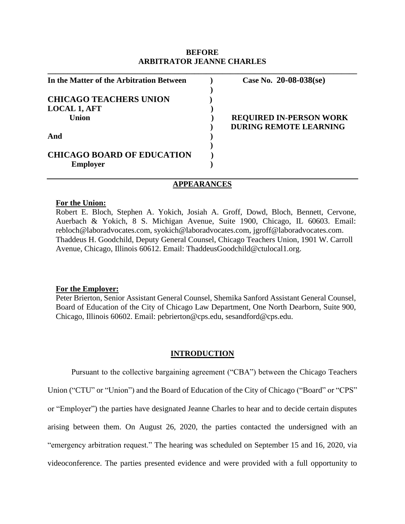### **BEFORE ARBITRATOR JEANNE CHARLES**

**\_\_\_\_\_\_\_\_\_\_\_\_\_\_\_\_\_\_\_\_\_\_\_\_\_\_\_\_\_\_\_\_\_\_\_\_\_\_\_\_\_\_\_\_\_\_\_\_\_\_\_\_\_\_\_\_\_\_\_\_\_\_\_\_\_\_\_\_\_\_\_\_\_\_\_\_\_\_**

| In the Matter of the Arbitration Between | Case No. $20-08-038$ (se)      |
|------------------------------------------|--------------------------------|
|                                          |                                |
| <b>CHICAGO TEACHERS UNION</b>            |                                |
| <b>LOCAL 1, AFT</b>                      |                                |
| Union                                    | <b>REQUIRED IN-PERSON WORK</b> |
|                                          | <b>DURING REMOTE LEARNING</b>  |
| And                                      |                                |
|                                          |                                |
| <b>CHICAGO BOARD OF EDUCATION</b>        |                                |
| <b>Employer</b>                          |                                |

### **APPEARANCES**

#### **For the Union:**

Robert E. Bloch, Stephen A. Yokich, Josiah A. Groff, Dowd, Bloch, Bennett, Cervone, Auerbach & Yokich, 8 S. Michigan Avenue, Suite 1900, Chicago, IL 60603. Email: rebloch@laboradvocates.com, syokich@laboradvocates.com, jgroff@laboradvocates.com. Thaddeus H. Goodchild, Deputy General Counsel, Chicago Teachers Union, 1901 W. Carroll Avenue, Chicago, Illinois 60612. Email: ThaddeusGoodchild@ctulocal1.org.

### **For the Employer:**

Peter Brierton, Senior Assistant General Counsel, Shemika Sanford Assistant General Counsel, Board of Education of the City of Chicago Law Department, One North Dearborn, Suite 900, Chicago, Illinois 60602. Email: pebrierton@cps.edu, sesandford@cps.edu.

#### **INTRODUCTION**

Pursuant to the collective bargaining agreement ("CBA") between the Chicago Teachers Union ("CTU" or "Union") and the Board of Education of the City of Chicago ("Board" or "CPS" or "Employer") the parties have designated Jeanne Charles to hear and to decide certain disputes arising between them. On August 26, 2020, the parties contacted the undersigned with an "emergency arbitration request." The hearing was scheduled on September 15 and 16, 2020, via videoconference. The parties presented evidence and were provided with a full opportunity to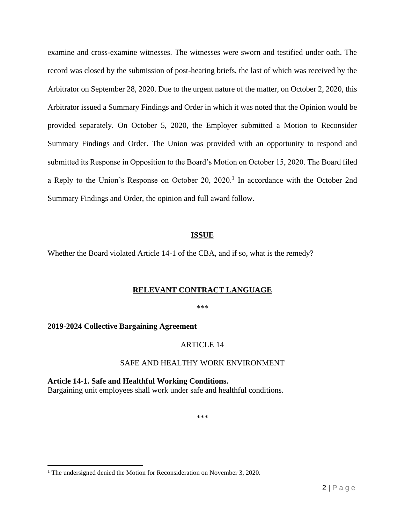examine and cross-examine witnesses. The witnesses were sworn and testified under oath. The record was closed by the submission of post-hearing briefs, the last of which was received by the Arbitrator on September 28, 2020. Due to the urgent nature of the matter, on October 2, 2020, this Arbitrator issued a Summary Findings and Order in which it was noted that the Opinion would be provided separately. On October 5, 2020, the Employer submitted a Motion to Reconsider Summary Findings and Order. The Union was provided with an opportunity to respond and submitted its Response in Opposition to the Board's Motion on October 15, 2020. The Board filed a Reply to the Union's Response on October 20, 2020.<sup>1</sup> In accordance with the October 2nd Summary Findings and Order, the opinion and full award follow.

## **ISSUE**

Whether the Board violated Article 14-1 of the CBA, and if so, what is the remedy?

## **RELEVANT CONTRACT LANGUAGE**

\*\*\*

## **2019-2024 Collective Bargaining Agreement**

## ARTICLE 14

# SAFE AND HEALTHY WORK ENVIRONMENT

**Article 14-1. Safe and Healthful Working Conditions.** Bargaining unit employees shall work under safe and healthful conditions.

\*\*\*

<sup>&</sup>lt;sup>1</sup> The undersigned denied the Motion for Reconsideration on November 3, 2020.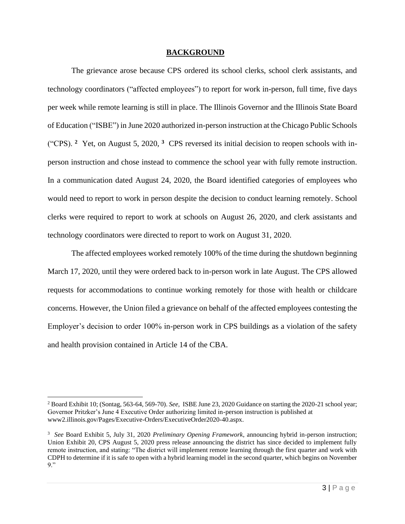### **BACKGROUND**

The grievance arose because CPS ordered its school clerks, school clerk assistants, and technology coordinators ("affected employees") to report for work in-person, full time, five days per week while remote learning is still in place. The Illinois Governor and the Illinois State Board of Education ("ISBE") in June 2020 authorized in-person instruction at the Chicago Public Schools ("CPS). **<sup>2</sup>** Yet, on August 5, 2020, **<sup>3</sup>** CPS reversed its initial decision to reopen schools with inperson instruction and chose instead to commence the school year with fully remote instruction. In a communication dated August 24, 2020, the Board identified categories of employees who would need to report to work in person despite the decision to conduct learning remotely. School clerks were required to report to work at schools on August 26, 2020, and clerk assistants and technology coordinators were directed to report to work on August 31, 2020.

The affected employees worked remotely 100% of the time during the shutdown beginning March 17, 2020, until they were ordered back to in-person work in late August. The CPS allowed requests for accommodations to continue working remotely for those with health or childcare concerns. However, the Union filed a grievance on behalf of the affected employees contesting the Employer's decision to order 100% in-person work in CPS buildings as a violation of the safety and health provision contained in Article 14 of the CBA.

<sup>2</sup> Board Exhibit 10; (Sontag, 563-64, 569-70). *See*, ISBE June 23, 2020 Guidance on starting the 2020-21 school year; Governor Pritzker's June 4 Executive Order authorizing limited in-person instruction is published at www2.illinois.gov/Pages/Executive-Orders/ExecutiveOrder2020-40.aspx.

<sup>3</sup> *See* Board Exhibit 5, July 31, 2020 *Preliminary Opening Framework*, announcing hybrid in-person instruction; Union Exhibit 20, CPS August 5, 2020 press release announcing the district has since decided to implement fully remote instruction, and stating: "The district will implement remote learning through the first quarter and work with CDPH to determine if it is safe to open with a hybrid learning model in the second quarter, which begins on November 9."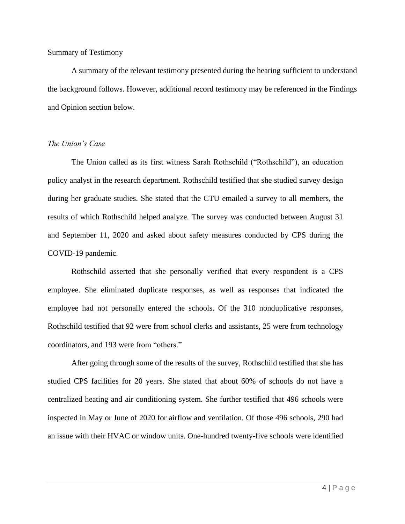### Summary of Testimony

A summary of the relevant testimony presented during the hearing sufficient to understand the background follows. However, additional record testimony may be referenced in the Findings and Opinion section below.

### *The Union's Case*

The Union called as its first witness Sarah Rothschild ("Rothschild"), an education policy analyst in the research department. Rothschild testified that she studied survey design during her graduate studies. She stated that the CTU emailed a survey to all members, the results of which Rothschild helped analyze. The survey was conducted between August 31 and September 11, 2020 and asked about safety measures conducted by CPS during the COVID-19 pandemic.

Rothschild asserted that she personally verified that every respondent is a CPS employee. She eliminated duplicate responses, as well as responses that indicated the employee had not personally entered the schools. Of the 310 nonduplicative responses, Rothschild testified that 92 were from school clerks and assistants, 25 were from technology coordinators, and 193 were from "others."

After going through some of the results of the survey, Rothschild testified that she has studied CPS facilities for 20 years. She stated that about 60% of schools do not have a centralized heating and air conditioning system. She further testified that 496 schools were inspected in May or June of 2020 for airflow and ventilation. Of those 496 schools, 290 had an issue with their HVAC or window units. One-hundred twenty-five schools were identified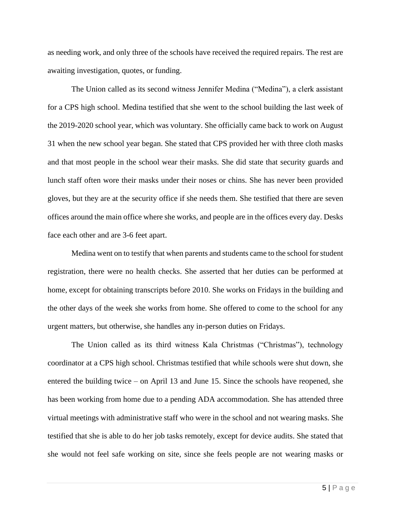as needing work, and only three of the schools have received the required repairs. The rest are awaiting investigation, quotes, or funding.

The Union called as its second witness Jennifer Medina ("Medina"), a clerk assistant for a CPS high school. Medina testified that she went to the school building the last week of the 2019-2020 school year, which was voluntary. She officially came back to work on August 31 when the new school year began. She stated that CPS provided her with three cloth masks and that most people in the school wear their masks. She did state that security guards and lunch staff often wore their masks under their noses or chins. She has never been provided gloves, but they are at the security office if she needs them. She testified that there are seven offices around the main office where she works, and people are in the offices every day. Desks face each other and are 3-6 feet apart.

Medina went on to testify that when parents and students came to the school for student registration, there were no health checks. She asserted that her duties can be performed at home, except for obtaining transcripts before 2010. She works on Fridays in the building and the other days of the week she works from home. She offered to come to the school for any urgent matters, but otherwise, she handles any in-person duties on Fridays.

The Union called as its third witness Kala Christmas ("Christmas"), technology coordinator at a CPS high school. Christmas testified that while schools were shut down, she entered the building twice – on April 13 and June 15. Since the schools have reopened, she has been working from home due to a pending ADA accommodation. She has attended three virtual meetings with administrative staff who were in the school and not wearing masks. She testified that she is able to do her job tasks remotely, except for device audits. She stated that she would not feel safe working on site, since she feels people are not wearing masks or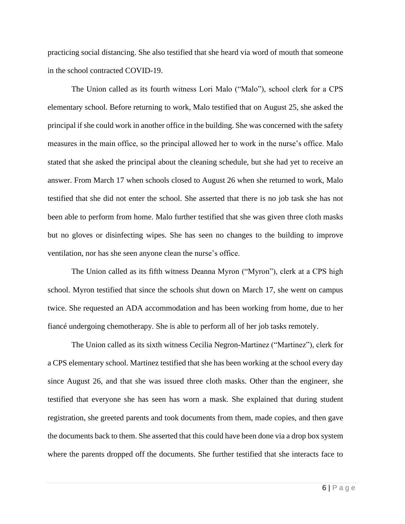practicing social distancing. She also testified that she heard via word of mouth that someone in the school contracted COVID-19.

The Union called as its fourth witness Lori Malo ("Malo"), school clerk for a CPS elementary school. Before returning to work, Malo testified that on August 25, she asked the principal if she could work in another office in the building. She was concerned with the safety measures in the main office, so the principal allowed her to work in the nurse's office. Malo stated that she asked the principal about the cleaning schedule, but she had yet to receive an answer. From March 17 when schools closed to August 26 when she returned to work, Malo testified that she did not enter the school. She asserted that there is no job task she has not been able to perform from home. Malo further testified that she was given three cloth masks but no gloves or disinfecting wipes. She has seen no changes to the building to improve ventilation, nor has she seen anyone clean the nurse's office.

The Union called as its fifth witness Deanna Myron ("Myron"), clerk at a CPS high school. Myron testified that since the schools shut down on March 17, she went on campus twice. She requested an ADA accommodation and has been working from home, due to her fiancé undergoing chemotherapy. She is able to perform all of her job tasks remotely.

The Union called as its sixth witness Cecilia Negron-Martinez ("Martinez"), clerk for a CPS elementary school. Martinez testified that she has been working at the school every day since August 26, and that she was issued three cloth masks. Other than the engineer, she testified that everyone she has seen has worn a mask. She explained that during student registration, she greeted parents and took documents from them, made copies, and then gave the documents back to them. She asserted that this could have been done via a drop box system where the parents dropped off the documents. She further testified that she interacts face to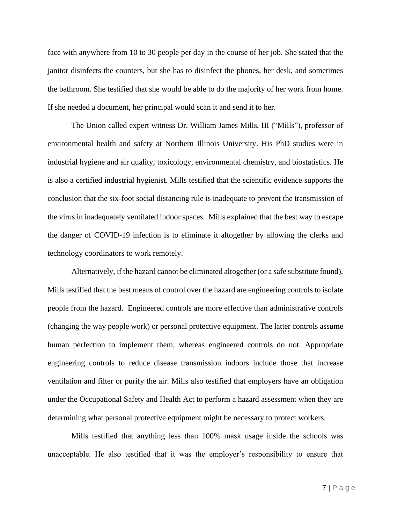face with anywhere from 10 to 30 people per day in the course of her job. She stated that the janitor disinfects the counters, but she has to disinfect the phones, her desk, and sometimes the bathroom. She testified that she would be able to do the majority of her work from home. If she needed a document, her principal would scan it and send it to her.

The Union called expert witness Dr. William James Mills, III ("Mills"), professor of environmental health and safety at Northern Illinois University. His PhD studies were in industrial hygiene and air quality, toxicology, environmental chemistry, and biostatistics. He is also a certified industrial hygienist. Mills testified that the scientific evidence supports the conclusion that the six-foot social distancing rule is inadequate to prevent the transmission of the virus in inadequately ventilated indoor spaces. Mills explained that the best way to escape the danger of COVID-19 infection is to eliminate it altogether by allowing the clerks and technology coordinators to work remotely.

Alternatively, if the hazard cannot be eliminated altogether (or a safe substitute found), Mills testified that the best means of control over the hazard are engineering controls to isolate people from the hazard. Engineered controls are more effective than administrative controls (changing the way people work) or personal protective equipment. The latter controls assume human perfection to implement them, whereas engineered controls do not. Appropriate engineering controls to reduce disease transmission indoors include those that increase ventilation and filter or purify the air. Mills also testified that employers have an obligation under the Occupational Safety and Health Act to perform a hazard assessment when they are determining what personal protective equipment might be necessary to protect workers.

Mills testified that anything less than 100% mask usage inside the schools was unacceptable. He also testified that it was the employer's responsibility to ensure that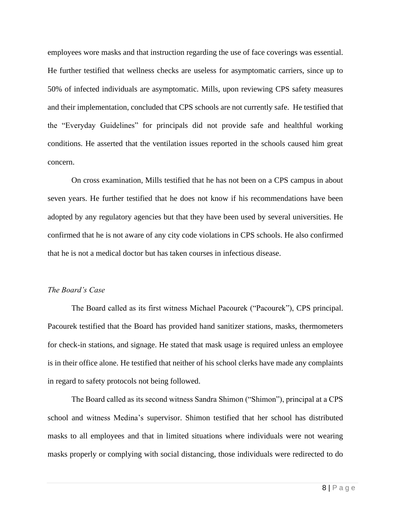employees wore masks and that instruction regarding the use of face coverings was essential. He further testified that wellness checks are useless for asymptomatic carriers, since up to 50% of infected individuals are asymptomatic. Mills, upon reviewing CPS safety measures and their implementation, concluded that CPS schools are not currently safe. He testified that the "Everyday Guidelines" for principals did not provide safe and healthful working conditions. He asserted that the ventilation issues reported in the schools caused him great concern.

On cross examination, Mills testified that he has not been on a CPS campus in about seven years. He further testified that he does not know if his recommendations have been adopted by any regulatory agencies but that they have been used by several universities. He confirmed that he is not aware of any city code violations in CPS schools. He also confirmed that he is not a medical doctor but has taken courses in infectious disease.

### *The Board's Case*

The Board called as its first witness Michael Pacourek ("Pacourek"), CPS principal. Pacourek testified that the Board has provided hand sanitizer stations, masks, thermometers for check-in stations, and signage. He stated that mask usage is required unless an employee is in their office alone. He testified that neither of his school clerks have made any complaints in regard to safety protocols not being followed.

The Board called as its second witness Sandra Shimon ("Shimon"), principal at a CPS school and witness Medina's supervisor. Shimon testified that her school has distributed masks to all employees and that in limited situations where individuals were not wearing masks properly or complying with social distancing, those individuals were redirected to do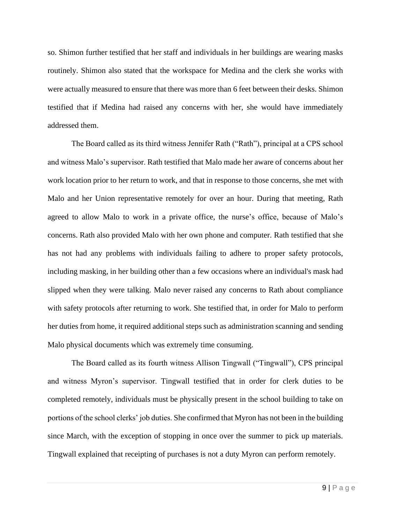so. Shimon further testified that her staff and individuals in her buildings are wearing masks routinely. Shimon also stated that the workspace for Medina and the clerk she works with were actually measured to ensure that there was more than 6 feet between their desks. Shimon testified that if Medina had raised any concerns with her, she would have immediately addressed them.

The Board called as its third witness Jennifer Rath ("Rath"), principal at a CPS school and witness Malo's supervisor. Rath testified that Malo made her aware of concerns about her work location prior to her return to work, and that in response to those concerns, she met with Malo and her Union representative remotely for over an hour. During that meeting, Rath agreed to allow Malo to work in a private office, the nurse's office, because of Malo's concerns. Rath also provided Malo with her own phone and computer. Rath testified that she has not had any problems with individuals failing to adhere to proper safety protocols, including masking, in her building other than a few occasions where an individual's mask had slipped when they were talking. Malo never raised any concerns to Rath about compliance with safety protocols after returning to work. She testified that, in order for Malo to perform her duties from home, it required additional steps such as administration scanning and sending Malo physical documents which was extremely time consuming.

The Board called as its fourth witness Allison Tingwall ("Tingwall"), CPS principal and witness Myron's supervisor. Tingwall testified that in order for clerk duties to be completed remotely, individuals must be physically present in the school building to take on portions of the school clerks' job duties. She confirmed that Myron has not been in the building since March, with the exception of stopping in once over the summer to pick up materials. Tingwall explained that receipting of purchases is not a duty Myron can perform remotely.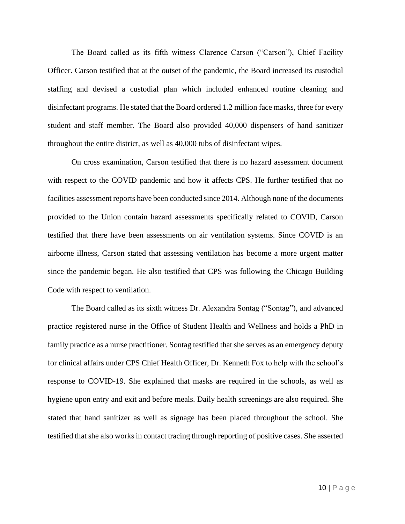The Board called as its fifth witness Clarence Carson ("Carson"), Chief Facility Officer. Carson testified that at the outset of the pandemic, the Board increased its custodial staffing and devised a custodial plan which included enhanced routine cleaning and disinfectant programs. He stated that the Board ordered 1.2 million face masks, three for every student and staff member. The Board also provided 40,000 dispensers of hand sanitizer throughout the entire district, as well as 40,000 tubs of disinfectant wipes.

On cross examination, Carson testified that there is no hazard assessment document with respect to the COVID pandemic and how it affects CPS. He further testified that no facilities assessment reports have been conducted since 2014. Although none of the documents provided to the Union contain hazard assessments specifically related to COVID, Carson testified that there have been assessments on air ventilation systems. Since COVID is an airborne illness, Carson stated that assessing ventilation has become a more urgent matter since the pandemic began. He also testified that CPS was following the Chicago Building Code with respect to ventilation.

The Board called as its sixth witness Dr. Alexandra Sontag ("Sontag"), and advanced practice registered nurse in the Office of Student Health and Wellness and holds a PhD in family practice as a nurse practitioner. Sontag testified that she serves as an emergency deputy for clinical affairs under CPS Chief Health Officer, Dr. Kenneth Fox to help with the school's response to COVID-19. She explained that masks are required in the schools, as well as hygiene upon entry and exit and before meals. Daily health screenings are also required. She stated that hand sanitizer as well as signage has been placed throughout the school. She testified that she also works in contact tracing through reporting of positive cases. She asserted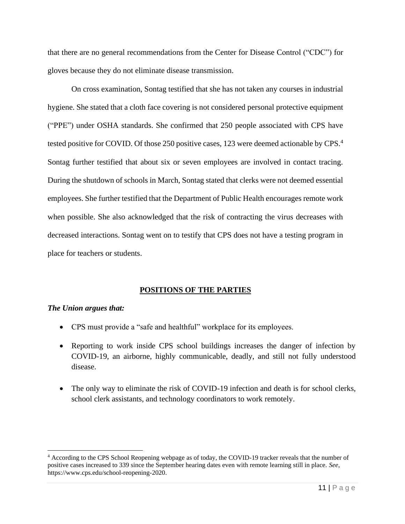that there are no general recommendations from the Center for Disease Control ("CDC") for gloves because they do not eliminate disease transmission.

On cross examination, Sontag testified that she has not taken any courses in industrial hygiene. She stated that a cloth face covering is not considered personal protective equipment ("PPE") under OSHA standards. She confirmed that 250 people associated with CPS have tested positive for COVID. Of those 250 positive cases, 123 were deemed actionable by CPS.<sup>4</sup> Sontag further testified that about six or seven employees are involved in contact tracing. During the shutdown of schools in March, Sontag stated that clerks were not deemed essential employees. She further testified that the Department of Public Health encourages remote work when possible. She also acknowledged that the risk of contracting the virus decreases with decreased interactions. Sontag went on to testify that CPS does not have a testing program in place for teachers or students.

# **POSITIONS OF THE PARTIES**

# *The Union argues that:*

- CPS must provide a "safe and healthful" workplace for its employees.
- Reporting to work inside CPS school buildings increases the danger of infection by COVID-19, an airborne, highly communicable, deadly, and still not fully understood disease.
- The only way to eliminate the risk of COVID-19 infection and death is for school clerks, school clerk assistants, and technology coordinators to work remotely.

<sup>4</sup> According to the CPS School Reopening webpage as of today, the COVID-19 tracker reveals that the number of positive cases increased to 339 since the September hearing dates even with remote learning still in place. *See*, https://www.cps.edu/school-reopening-2020.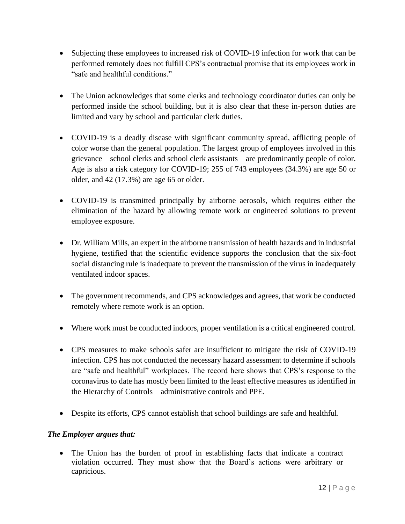- Subjecting these employees to increased risk of COVID-19 infection for work that can be performed remotely does not fulfill CPS's contractual promise that its employees work in "safe and healthful conditions."
- The Union acknowledges that some clerks and technology coordinator duties can only be performed inside the school building, but it is also clear that these in-person duties are limited and vary by school and particular clerk duties.
- COVID-19 is a deadly disease with significant community spread, afflicting people of color worse than the general population. The largest group of employees involved in this grievance – school clerks and school clerk assistants – are predominantly people of color. Age is also a risk category for COVID-19; 255 of 743 employees (34.3%) are age 50 or older, and 42 (17.3%) are age 65 or older.
- COVID-19 is transmitted principally by airborne aerosols, which requires either the elimination of the hazard by allowing remote work or engineered solutions to prevent employee exposure.
- Dr. William Mills, an expert in the airborne transmission of health hazards and in industrial hygiene, testified that the scientific evidence supports the conclusion that the six-foot social distancing rule is inadequate to prevent the transmission of the virus in inadequately ventilated indoor spaces.
- The government recommends, and CPS acknowledges and agrees, that work be conducted remotely where remote work is an option.
- Where work must be conducted indoors, proper ventilation is a critical engineered control.
- CPS measures to make schools safer are insufficient to mitigate the risk of COVID-19 infection. CPS has not conducted the necessary hazard assessment to determine if schools are "safe and healthful" workplaces. The record here shows that CPS's response to the coronavirus to date has mostly been limited to the least effective measures as identified in the Hierarchy of Controls – administrative controls and PPE.
- Despite its efforts, CPS cannot establish that school buildings are safe and healthful.

# *The Employer argues that:*

• The Union has the burden of proof in establishing facts that indicate a contract violation occurred. They must show that the Board's actions were arbitrary or capricious.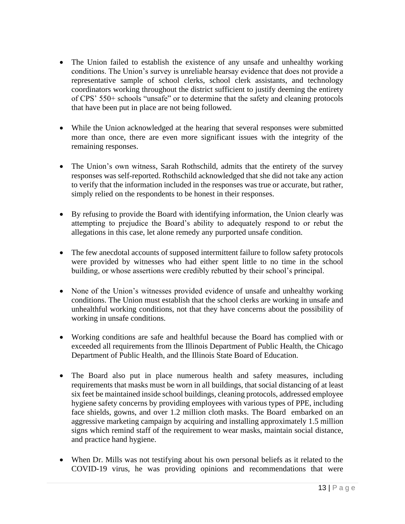- The Union failed to establish the existence of any unsafe and unhealthy working conditions. The Union's survey is unreliable hearsay evidence that does not provide a representative sample of school clerks, school clerk assistants, and technology coordinators working throughout the district sufficient to justify deeming the entirety of CPS' 550+ schools "unsafe" or to determine that the safety and cleaning protocols that have been put in place are not being followed.
- While the Union acknowledged at the hearing that several responses were submitted more than once, there are even more significant issues with the integrity of the remaining responses.
- The Union's own witness, Sarah Rothschild, admits that the entirety of the survey responses was self-reported. Rothschild acknowledged that she did not take any action to verify that the information included in the responses was true or accurate, but rather, simply relied on the respondents to be honest in their responses.
- By refusing to provide the Board with identifying information, the Union clearly was attempting to prejudice the Board's ability to adequately respond to or rebut the allegations in this case, let alone remedy any purported unsafe condition.
- The few anecdotal accounts of supposed intermittent failure to follow safety protocols were provided by witnesses who had either spent little to no time in the school building, or whose assertions were credibly rebutted by their school's principal.
- None of the Union's witnesses provided evidence of unsafe and unhealthy working conditions. The Union must establish that the school clerks are working in unsafe and unhealthful working conditions, not that they have concerns about the possibility of working in unsafe conditions.
- Working conditions are safe and healthful because the Board has complied with or exceeded all requirements from the Illinois Department of Public Health, the Chicago Department of Public Health, and the Illinois State Board of Education.
- The Board also put in place numerous health and safety measures, including requirements that masks must be worn in all buildings, that social distancing of at least six feet be maintained inside school buildings, cleaning protocols, addressed employee hygiene safety concerns by providing employees with various types of PPE, including face shields, gowns, and over 1.2 million cloth masks. The Board embarked on an aggressive marketing campaign by acquiring and installing approximately 1.5 million signs which remind staff of the requirement to wear masks, maintain social distance, and practice hand hygiene.
- When Dr. Mills was not testifying about his own personal beliefs as it related to the COVID-19 virus, he was providing opinions and recommendations that were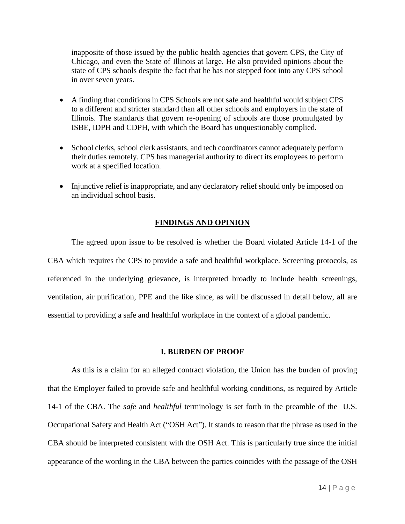inapposite of those issued by the public health agencies that govern CPS, the City of Chicago, and even the State of Illinois at large. He also provided opinions about the state of CPS schools despite the fact that he has not stepped foot into any CPS school in over seven years.

- A finding that conditions in CPS Schools are not safe and healthful would subject CPS to a different and stricter standard than all other schools and employers in the state of Illinois. The standards that govern re-opening of schools are those promulgated by ISBE, IDPH and CDPH, with which the Board has unquestionably complied.
- School clerks, school clerk assistants, and tech coordinators cannot adequately perform their duties remotely. CPS has managerial authority to direct its employees to perform work at a specified location.
- Injunctive relief is inappropriate, and any declaratory relief should only be imposed on an individual school basis.

### **FINDINGS AND OPINION**

The agreed upon issue to be resolved is whether the Board violated Article 14-1 of the CBA which requires the CPS to provide a safe and healthful workplace. Screening protocols, as referenced in the underlying grievance, is interpreted broadly to include health screenings, ventilation, air purification, PPE and the like since, as will be discussed in detail below, all are essential to providing a safe and healthful workplace in the context of a global pandemic.

### **I. BURDEN OF PROOF**

As this is a claim for an alleged contract violation, the Union has the burden of proving that the Employer failed to provide safe and healthful working conditions, as required by Article 14-1 of the CBA. The *safe* and *healthful* terminology is set forth in the preamble of the U.S. Occupational Safety and Health Act ("OSH Act"). It stands to reason that the phrase as used in the CBA should be interpreted consistent with the OSH Act. This is particularly true since the initial appearance of the wording in the CBA between the parties coincides with the passage of the OSH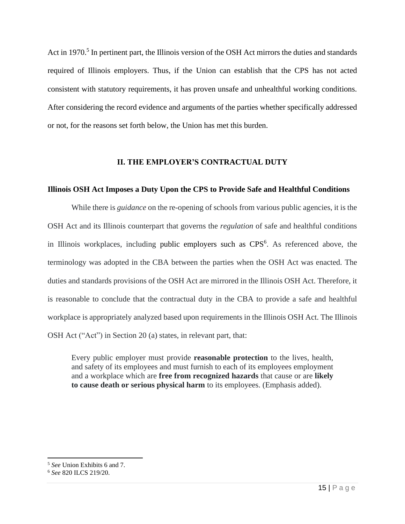Act in 1970.<sup>5</sup> In pertinent part, the Illinois version of the OSH Act mirrors the duties and standards required of Illinois employers. Thus, if the Union can establish that the CPS has not acted consistent with statutory requirements, it has proven unsafe and unhealthful working conditions. After considering the record evidence and arguments of the parties whether specifically addressed or not, for the reasons set forth below, the Union has met this burden.

## **II. THE EMPLOYER'S CONTRACTUAL DUTY**

## **Illinois OSH Act Imposes a Duty Upon the CPS to Provide Safe and Healthful Conditions**

While there is *guidance* on the re-opening of schools from various public agencies, it is the OSH Act and its Illinois counterpart that governs the *regulation* of safe and healthful conditions in Illinois workplaces, including public employers such as CPS<sup>6</sup>. As referenced above, the terminology was adopted in the CBA between the parties when the OSH Act was enacted. The duties and standards provisions of the OSH Act are mirrored in the Illinois OSH Act. Therefore, it is reasonable to conclude that the contractual duty in the CBA to provide a safe and healthful workplace is appropriately analyzed based upon requirements in the Illinois OSH Act. The Illinois OSH Act ("Act") in Section 20 (a) states, in relevant part, that:

Every public employer must provide **reasonable protection** to the lives, health, and safety of its employees and must furnish to each of its employees employment and a workplace which are **free from recognized hazards** that cause or are **likely to cause death or serious physical harm** to its employees. (Emphasis added).

<sup>5</sup> *See* Union Exhibits 6 and 7.

<sup>6</sup> *See* 820 ILCS 219/20.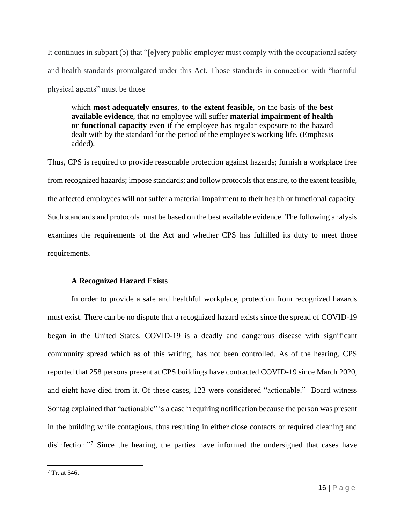It continues in subpart (b) that "[e]very public employer must comply with the occupational safety and health standards promulgated under this Act. Those standards in connection with "harmful physical agents" must be those

which **most adequately ensures**, **to the extent feasible**, on the basis of the **best available evidence**, that no employee will suffer **material impairment of health or functional capacity** even if the employee has regular exposure to the hazard dealt with by the standard for the period of the employee's working life. (Emphasis added).

Thus, CPS is required to provide reasonable protection against hazards; furnish a workplace free from recognized hazards; impose standards; and follow protocols that ensure, to the extent feasible, the affected employees will not suffer a material impairment to their health or functional capacity. Such standards and protocols must be based on the best available evidence. The following analysis examines the requirements of the Act and whether CPS has fulfilled its duty to meet those requirements.

# **A Recognized Hazard Exists**

In order to provide a safe and healthful workplace, protection from recognized hazards must exist. There can be no dispute that a recognized hazard exists since the spread of COVID-19 began in the United States. COVID-19 is a deadly and dangerous disease with significant community spread which as of this writing, has not been controlled. As of the hearing, CPS reported that 258 persons present at CPS buildings have contracted COVID-19 since March 2020, and eight have died from it. Of these cases, 123 were considered "actionable." Board witness Sontag explained that "actionable" is a case "requiring notification because the person was present in the building while contagious, thus resulting in either close contacts or required cleaning and disinfection."<sup>7</sup> Since the hearing, the parties have informed the undersigned that cases have

 $7$  Tr. at 546.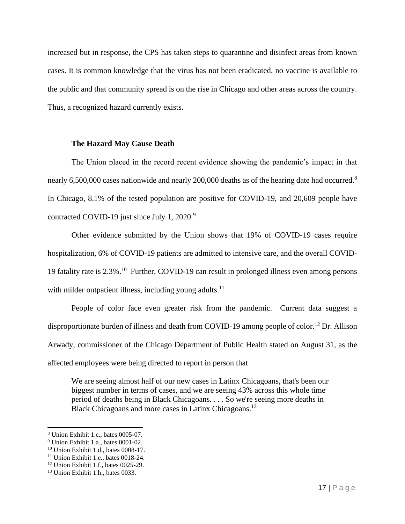increased but in response, the CPS has taken steps to quarantine and disinfect areas from known cases. It is common knowledge that the virus has not been eradicated, no vaccine is available to the public and that community spread is on the rise in Chicago and other areas across the country. Thus, a recognized hazard currently exists.

### **The Hazard May Cause Death**

The Union placed in the record recent evidence showing the pandemic's impact in that nearly 6,500,000 cases nationwide and nearly 200,000 deaths as of the hearing date had occurred.<sup>8</sup> In Chicago, 8.1% of the tested population are positive for COVID-19, and 20,609 people have contracted COVID-19 just since July 1, 2020.<sup>9</sup>

Other evidence submitted by the Union shows that 19% of COVID-19 cases require hospitalization, 6% of COVID-19 patients are admitted to intensive care, and the overall COVID-19 fatality rate is 2.3%.<sup>10</sup> Further, COVID-19 can result in prolonged illness even among persons with milder outpatient illness, including young adults. $11$ 

People of color face even greater risk from the pandemic. Current data suggest a disproportionate burden of illness and death from COVID-19 among people of color.<sup>12</sup> Dr. Allison Arwady, commissioner of the Chicago Department of Public Health stated on August 31, as the affected employees were being directed to report in person that

We are seeing almost half of our new cases in Latinx Chicagoans, that's been our biggest number in terms of cases, and we are seeing 43% across this whole time period of deaths being in Black Chicagoans. . . . So we're seeing more deaths in Black Chicagoans and more cases in Latinx Chicagoans.<sup>13</sup>

<sup>8</sup> Union Exhibit 1.c., bates 0005-07.

<sup>9</sup> Union Exhibit 1.a., bates 0001-02.

<sup>10</sup> Union Exhibit 1.d., bates 0008-17.

<sup>&</sup>lt;sup>11</sup> Union Exhibit 1.e., bates 0018-24.

<sup>12</sup> Union Exhibit 1.f., bates 0025-29.

<sup>&</sup>lt;sup>13</sup> Union Exhibit 1.h., bates 0033.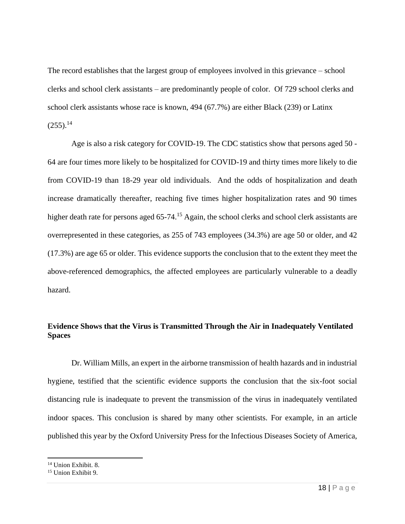The record establishes that the largest group of employees involved in this grievance – school clerks and school clerk assistants – are predominantly people of color. Of 729 school clerks and school clerk assistants whose race is known, 494 (67.7%) are either Black (239) or Latinx  $(255).^{14}$ 

Age is also a risk category for COVID-19. The CDC statistics show that persons aged 50 - 64 are four times more likely to be hospitalized for COVID-19 and thirty times more likely to die from COVID-19 than 18-29 year old individuals. And the odds of hospitalization and death increase dramatically thereafter, reaching five times higher hospitalization rates and 90 times higher death rate for persons aged 65-74.<sup>15</sup> Again, the school clerks and school clerk assistants are overrepresented in these categories, as 255 of 743 employees (34.3%) are age 50 or older, and 42 (17.3%) are age 65 or older. This evidence supports the conclusion that to the extent they meet the above-referenced demographics, the affected employees are particularly vulnerable to a deadly hazard.

# **Evidence Shows that the Virus is Transmitted Through the Air in Inadequately Ventilated Spaces**

Dr. William Mills, an expert in the airborne transmission of health hazards and in industrial hygiene, testified that the scientific evidence supports the conclusion that the six-foot social distancing rule is inadequate to prevent the transmission of the virus in inadequately ventilated indoor spaces. This conclusion is shared by many other scientists. For example, in an article published this year by the Oxford University Press for the Infectious Diseases Society of America,

<sup>14</sup> Union Exhibit. 8.

<sup>15</sup> Union Exhibit 9.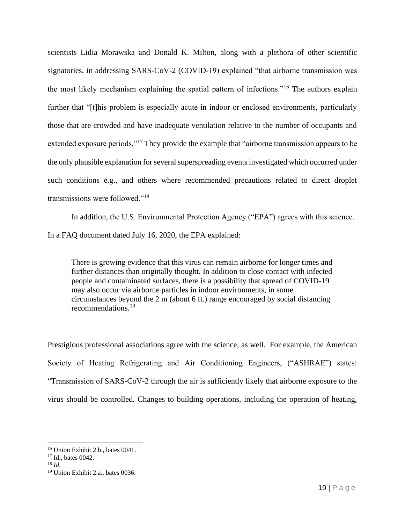scientists Lidia Morawska and Donald K. Milton, along with a plethora of other scientific signatories, in addressing SARS-CoV-2 (COVID-19) explained "that airborne transmission was the most likely mechanism explaining the spatial pattern of infections."<sup>16</sup> The authors explain further that "[t]his problem is especially acute in indoor or enclosed environments, particularly those that are crowded and have inadequate ventilation relative to the number of occupants and extended exposure periods."<sup>17</sup> They provide the example that "airborne transmission appears to be the only plausible explanation for several superspreading events investigated which occurred under such conditions e.g., and others where recommended precautions related to direct droplet transmissions were followed."<sup>18</sup>

In addition, the U.S. Environmental Protection Agency ("EPA") agrees with this science. In a FAQ document dated July 16, 2020, the EPA explained:

There is growing evidence that this virus can remain airborne for longer times and further distances than originally thought. In addition to close contact with infected people and contaminated surfaces, there is a possibility that spread of COVID-19 may also occur via airborne particles in indoor environments, in some circumstances beyond the 2 m (about 6 ft.) range encouraged by social distancing recommendations.<sup>19</sup>

Prestigious professional associations agree with the science, as well. For example, the American Society of Heating Refrigerating and Air Conditioning Engineers, ("ASHRAE") states: "Transmission of SARS-CoV-2 through the air is sufficiently likely that airborne exposure to the virus should be controlled. Changes to building operations, including the operation of heating,

<sup>16</sup> Union Exhibit 2 b., bates 0041.

<sup>&</sup>lt;sup>17</sup> Id., bates 0042.

<sup>18</sup> *Id*.

<sup>19</sup> Union Exhibit 2.a., bates 0036.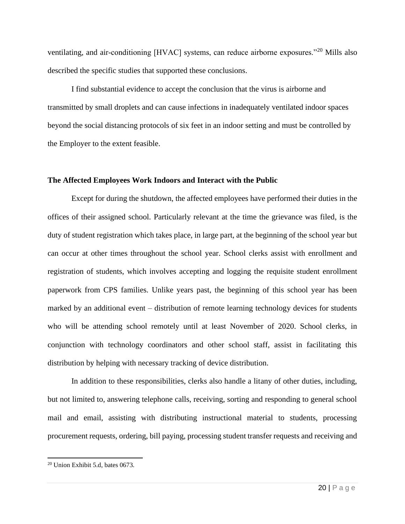ventilating, and air-conditioning [HVAC] systems, can reduce airborne exposures."<sup>20</sup> Mills also described the specific studies that supported these conclusions.

I find substantial evidence to accept the conclusion that the virus is airborne and transmitted by small droplets and can cause infections in inadequately ventilated indoor spaces beyond the social distancing protocols of six feet in an indoor setting and must be controlled by the Employer to the extent feasible.

## **The Affected Employees Work Indoors and Interact with the Public**

Except for during the shutdown, the affected employees have performed their duties in the offices of their assigned school. Particularly relevant at the time the grievance was filed, is the duty of student registration which takes place, in large part, at the beginning of the school year but can occur at other times throughout the school year. School clerks assist with enrollment and registration of students, which involves accepting and logging the requisite student enrollment paperwork from CPS families. Unlike years past, the beginning of this school year has been marked by an additional event – distribution of remote learning technology devices for students who will be attending school remotely until at least November of 2020. School clerks, in conjunction with technology coordinators and other school staff, assist in facilitating this distribution by helping with necessary tracking of device distribution.

In addition to these responsibilities, clerks also handle a litany of other duties, including, but not limited to, answering telephone calls, receiving, sorting and responding to general school mail and email, assisting with distributing instructional material to students, processing procurement requests, ordering, bill paying, processing student transfer requests and receiving and

<sup>20</sup> Union Exhibit 5.d, bates 0673.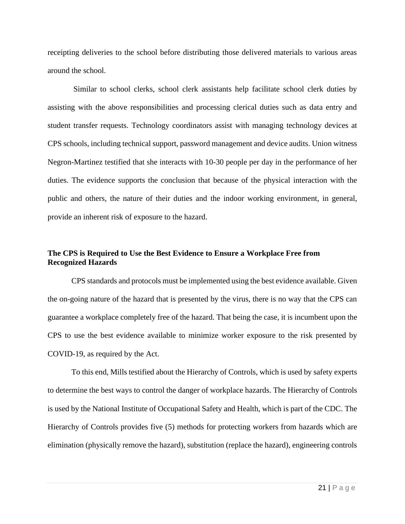receipting deliveries to the school before distributing those delivered materials to various areas around the school.

Similar to school clerks, school clerk assistants help facilitate school clerk duties by assisting with the above responsibilities and processing clerical duties such as data entry and student transfer requests. Technology coordinators assist with managing technology devices at CPS schools, including technical support, password management and device audits. Union witness Negron-Martinez testified that she interacts with 10-30 people per day in the performance of her duties. The evidence supports the conclusion that because of the physical interaction with the public and others, the nature of their duties and the indoor working environment, in general, provide an inherent risk of exposure to the hazard.

# **The CPS is Required to Use the Best Evidence to Ensure a Workplace Free from Recognized Hazards**

CPS standards and protocols must be implemented using the best evidence available. Given the on-going nature of the hazard that is presented by the virus, there is no way that the CPS can guarantee a workplace completely free of the hazard. That being the case, it is incumbent upon the CPS to use the best evidence available to minimize worker exposure to the risk presented by COVID-19, as required by the Act.

To this end, Mills testified about the Hierarchy of Controls, which is used by safety experts to determine the best ways to control the danger of workplace hazards. The Hierarchy of Controls is used by the National Institute of Occupational Safety and Health, which is part of the CDC. The Hierarchy of Controls provides five (5) methods for protecting workers from hazards which are elimination (physically remove the hazard), substitution (replace the hazard), engineering controls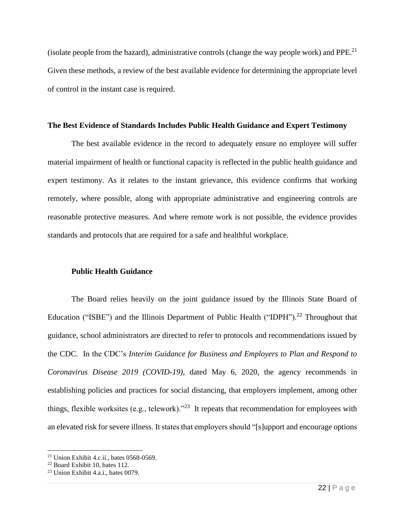(isolate people from the hazard), administrative controls (change the way people work) and PPE.<sup>21</sup> Given these methods, a review of the best available evidence for determining the appropriate level of control in the instant case is required.

### **The Best Evidence of Standards Includes Public Health Guidance and Expert Testimony**

The best available evidence in the record to adequately ensure no employee will suffer material impairment of health or functional capacity is reflected in the public health guidance and expert testimony. As it relates to the instant grievance, this evidence confirms that working remotely, where possible, along with appropriate administrative and engineering controls are reasonable protective measures. And where remote work is not possible, the evidence provides standards and protocols that are required for a safe and healthful workplace.

### **Public Health Guidance**

The Board relies heavily on the joint guidance issued by the Illinois State Board of Education ("ISBE") and the Illinois Department of Public Health ("IDPH").<sup>22</sup> Throughout that guidance, school administrators are directed to refer to protocols and recommendations issued by the CDC. In the CDC's *Interim Guidance for Business and Employers to Plan and Respond to Coronavirus Disease 2019 (COVID-19)*, dated May 6, 2020, the agency recommends in establishing policies and practices for social distancing, that employers implement, among other things, flexible worksites (e.g., telework). $"^{23}$  It repeats that recommendation for employees with an elevated risk for severe illness. It states that employers should "[s]upport and encourage options

 $21$  Union Exhibit 4.c.ii., bates 0568-0569.

<sup>22</sup> Board Exhibit 10, bates 112.

 $23$  Union Exhibit 4.a.i., bates 0079.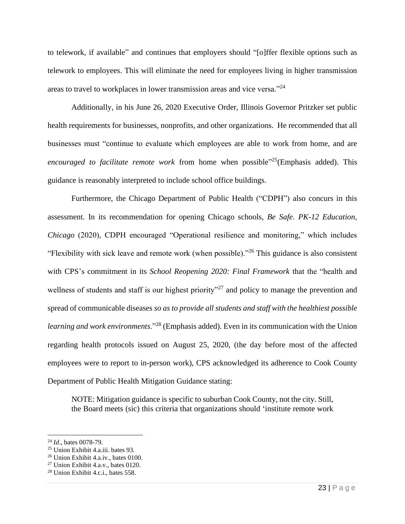to telework, if available" and continues that employers should "[o]ffer flexible options such as telework to employees. This will eliminate the need for employees living in higher transmission areas to travel to workplaces in lower transmission areas and vice versa."<sup>24</sup>

Additionally, in his June 26, 2020 Executive Order, Illinois Governor Pritzker set public health requirements for businesses, nonprofits, and other organizations. He recommended that all businesses must "continue to evaluate which employees are able to work from home, and are encouraged to facilitate remote work from home when possible<sup>325</sup> (Emphasis added). This guidance is reasonably interpreted to include school office buildings.

Furthermore, the Chicago Department of Public Health ("CDPH") also concurs in this assessment. In its recommendation for opening Chicago schools, *Be Safe. PK-12 Education, Chicago* (2020), CDPH encouraged "Operational resilience and monitoring," which includes "Flexibility with sick leave and remote work (when possible)."<sup>26</sup> This guidance is also consistent with CPS's commitment in its *School Reopening 2020: Final Framework* that the "health and wellness of students and staff is our highest priority<sup>"27</sup> and policy to manage the prevention and spread of communicable diseases *so as to provide all students and staff with the healthiest possible learning and work environments*."<sup>28</sup> (Emphasis added). Even in its communication with the Union regarding health protocols issued on August 25, 2020, (the day before most of the affected employees were to report to in-person work), CPS acknowledged its adherence to Cook County Department of Public Health Mitigation Guidance stating:

NOTE: Mitigation guidance is specific to suburban Cook County, not the city. Still, the Board meets (sic) this criteria that organizations should 'institute remote work

<sup>24</sup> *Id*., bates 0078-79.

<sup>25</sup> Union Exhibit 4.a.iii. bates 93.

<sup>26</sup> Union Exhibit 4.a.iv., bates 0100.

<sup>27</sup> Union Exhibit 4.a.v., bates 0120.

<sup>28</sup> Union Exhibit 4.c.i., bates 558.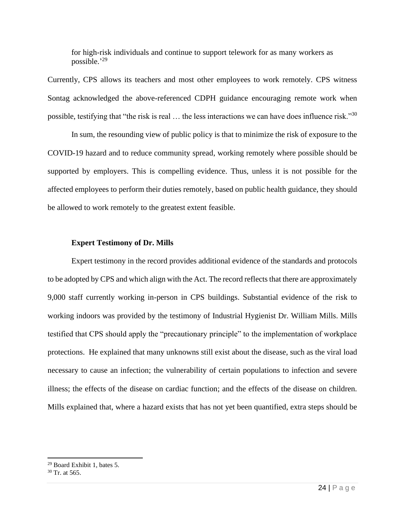for high-risk individuals and continue to support telework for as many workers as possible.' 29

Currently, CPS allows its teachers and most other employees to work remotely. CPS witness Sontag acknowledged the above-referenced CDPH guidance encouraging remote work when possible, testifying that "the risk is real … the less interactions we can have does influence risk."<sup>30</sup>

In sum, the resounding view of public policy is that to minimize the risk of exposure to the COVID-19 hazard and to reduce community spread, working remotely where possible should be supported by employers. This is compelling evidence. Thus, unless it is not possible for the affected employees to perform their duties remotely, based on public health guidance, they should be allowed to work remotely to the greatest extent feasible.

### **Expert Testimony of Dr. Mills**

Expert testimony in the record provides additional evidence of the standards and protocols to be adopted by CPS and which align with the Act. The record reflects that there are approximately 9,000 staff currently working in-person in CPS buildings. Substantial evidence of the risk to working indoors was provided by the testimony of Industrial Hygienist Dr. William Mills. Mills testified that CPS should apply the "precautionary principle" to the implementation of workplace protections. He explained that many unknowns still exist about the disease, such as the viral load necessary to cause an infection; the vulnerability of certain populations to infection and severe illness; the effects of the disease on cardiac function; and the effects of the disease on children. Mills explained that, where a hazard exists that has not yet been quantified, extra steps should be

<sup>29</sup> Board Exhibit 1, bates 5.

 $30$  Tr. at 565.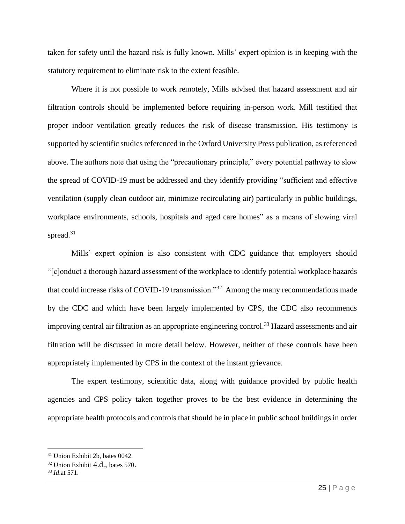taken for safety until the hazard risk is fully known. Mills' expert opinion is in keeping with the statutory requirement to eliminate risk to the extent feasible.

Where it is not possible to work remotely, Mills advised that hazard assessment and air filtration controls should be implemented before requiring in-person work. Mill testified that proper indoor ventilation greatly reduces the risk of disease transmission. His testimony is supported by scientific studies referenced in the Oxford University Press publication, as referenced above. The authors note that using the "precautionary principle," every potential pathway to slow the spread of COVID-19 must be addressed and they identify providing "sufficient and effective ventilation (supply clean outdoor air, minimize recirculating air) particularly in public buildings, workplace environments, schools, hospitals and aged care homes" as a means of slowing viral spread.<sup>31</sup>

Mills' expert opinion is also consistent with CDC guidance that employers should "[c]onduct a thorough hazard assessment of the workplace to identify potential workplace hazards that could increase risks of COVID-19 transmission."<sup>32</sup> Among the many recommendations made by the CDC and which have been largely implemented by CPS, the CDC also recommends improving central air filtration as an appropriate engineering control.<sup>33</sup> Hazard assessments and air filtration will be discussed in more detail below. However, neither of these controls have been appropriately implemented by CPS in the context of the instant grievance.

The expert testimony, scientific data, along with guidance provided by public health agencies and CPS policy taken together proves to be the best evidence in determining the appropriate health protocols and controls that should be in place in public school buildings in order

<sup>31</sup> Union Exhibit 2b, bates 0042.

 $32$  Union Exhibit  $4.d.,$  bates 570.

<sup>33</sup> *Id*.at 571.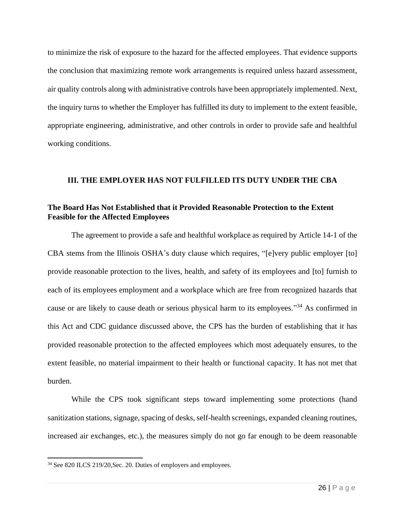to minimize the risk of exposure to the hazard for the affected employees. That evidence supports the conclusion that maximizing remote work arrangements is required unless hazard assessment, air quality controls along with administrative controls have been appropriately implemented. Next, the inquiry turns to whether the Employer has fulfilled its duty to implement to the extent feasible, appropriate engineering, administrative, and other controls in order to provide safe and healthful working conditions.

## **III. THE EMPLOYER HAS NOT FULFILLED ITS DUTY UNDER THE CBA**

## **The Board Has Not Established that it Provided Reasonable Protection to the Extent Feasible for the Affected Employees**

The agreement to provide a safe and healthful workplace as required by Article 14-1 of the CBA stems from the Illinois OSHA's duty clause which requires, "[e]very public employer [to] provide reasonable protection to the lives, health, and safety of its employees and [to] furnish to each of its employees employment and a workplace which are free from recognized hazards that cause or are likely to cause death or serious physical harm to its employees."<sup>34</sup> As confirmed in this Act and CDC guidance discussed above, the CPS has the burden of establishing that it has provided reasonable protection to the affected employees which most adequately ensures, to the extent feasible, no material impairment to their health or functional capacity. It has not met that burden.

While the CPS took significant steps toward implementing some protections (hand sanitization stations, signage, spacing of desks, self-health screenings, expanded cleaning routines, increased air exchanges, etc.), the measures simply do not go far enough to be deem reasonable

<sup>34</sup> See 820 ILCS 219/20,Sec. 20. Duties of employers and employees.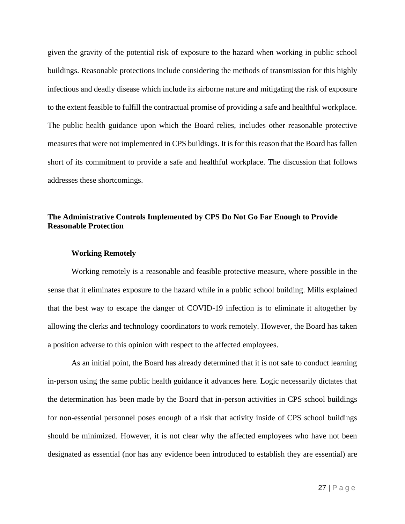given the gravity of the potential risk of exposure to the hazard when working in public school buildings. Reasonable protections include considering the methods of transmission for this highly infectious and deadly disease which include its airborne nature and mitigating the risk of exposure to the extent feasible to fulfill the contractual promise of providing a safe and healthful workplace. The public health guidance upon which the Board relies, includes other reasonable protective measures that were not implemented in CPS buildings. It is for this reason that the Board has fallen short of its commitment to provide a safe and healthful workplace. The discussion that follows addresses these shortcomings.

## **The Administrative Controls Implemented by CPS Do Not Go Far Enough to Provide Reasonable Protection**

#### **Working Remotely**

Working remotely is a reasonable and feasible protective measure, where possible in the sense that it eliminates exposure to the hazard while in a public school building. Mills explained that the best way to escape the danger of COVID-19 infection is to eliminate it altogether by allowing the clerks and technology coordinators to work remotely. However, the Board has taken a position adverse to this opinion with respect to the affected employees.

As an initial point, the Board has already determined that it is not safe to conduct learning in-person using the same public health guidance it advances here. Logic necessarily dictates that the determination has been made by the Board that in-person activities in CPS school buildings for non-essential personnel poses enough of a risk that activity inside of CPS school buildings should be minimized. However, it is not clear why the affected employees who have not been designated as essential (nor has any evidence been introduced to establish they are essential) are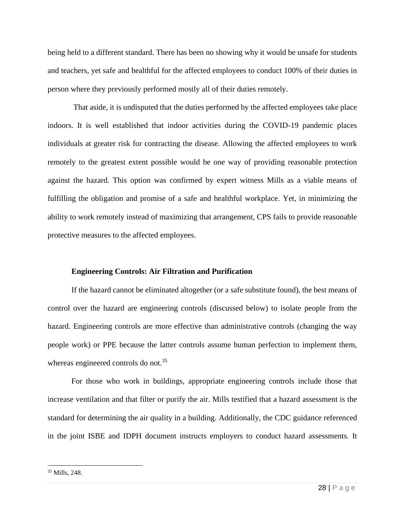being held to a different standard. There has been no showing why it would be unsafe for students and teachers, yet safe and healthful for the affected employees to conduct 100% of their duties in person where they previously performed mostly all of their duties remotely.

That aside, it is undisputed that the duties performed by the affected employees take place indoors. It is well established that indoor activities during the COVID-19 pandemic places individuals at greater risk for contracting the disease. Allowing the affected employees to work remotely to the greatest extent possible would be one way of providing reasonable protection against the hazard. This option was confirmed by expert witness Mills as a viable means of fulfilling the obligation and promise of a safe and healthful workplace. Yet, in minimizing the ability to work remotely instead of maximizing that arrangement, CPS fails to provide reasonable protective measures to the affected employees.

#### **Engineering Controls: Air Filtration and Purification**

If the hazard cannot be eliminated altogether (or a safe substitute found), the best means of control over the hazard are engineering controls (discussed below) to isolate people from the hazard. Engineering controls are more effective than administrative controls (changing the way people work) or PPE because the latter controls assume human perfection to implement them, whereas engineered controls do not.<sup>35</sup>

For those who work in buildings, appropriate engineering controls include those that increase ventilation and that filter or purify the air. Mills testified that a hazard assessment is the standard for determining the air quality in a building. Additionally, the CDC guidance referenced in the joint ISBE and IDPH document instructs employers to conduct hazard assessments. It

<sup>35</sup> Mills, 248.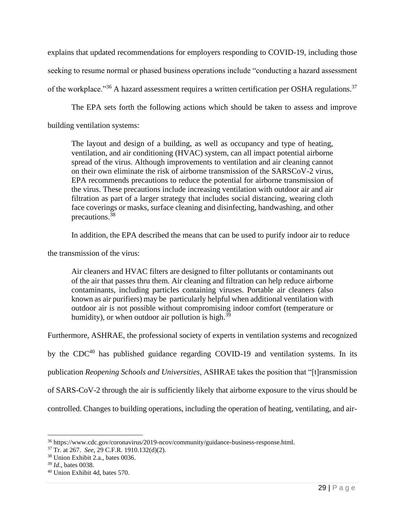explains that updated recommendations for employers responding to COVID-19, including those seeking to resume normal or phased business operations include "conducting a hazard assessment of the workplace."<sup>36</sup> A hazard assessment requires a written certification per OSHA regulations.<sup>37</sup>

The EPA sets forth the following actions which should be taken to assess and improve

building ventilation systems:

The layout and design of a building, as well as occupancy and type of heating, ventilation, and air conditioning (HVAC) system, can all impact potential airborne spread of the virus. Although improvements to ventilation and air cleaning cannot on their own eliminate the risk of airborne transmission of the SARSCoV-2 virus, EPA recommends precautions to reduce the potential for airborne transmission of the virus. These precautions include increasing ventilation with outdoor air and air filtration as part of a larger strategy that includes social distancing, wearing cloth face coverings or masks, surface cleaning and disinfecting, handwashing, and other precautions.<sup>38</sup>

In addition, the EPA described the means that can be used to purify indoor air to reduce

the transmission of the virus:

Air cleaners and HVAC filters are designed to filter pollutants or contaminants out of the air that passes thru them. Air cleaning and filtration can help reduce airborne contaminants, including particles containing viruses. Portable air cleaners (also known as air purifiers) may be particularly helpful when additional ventilation with outdoor air is not possible without compromising indoor comfort (temperature or humidity), or when outdoor air pollution is high. $39$ 

Furthermore, ASHRAE, the professional society of experts in ventilation systems and recognized

by the  $CDC^{40}$  has published guidance regarding  $COVID-19$  and ventilation systems. In its

publication *Reopening Schools and Universities*, ASHRAE takes the position that "[t]ransmission

of SARS-CoV-2 through the air is sufficiently likely that airborne exposure to the virus should be

controlled. Changes to building operations, including the operation of heating, ventilating, and air-

<sup>36</sup> https://www.cdc.gov/coronavirus/2019-ncov/community/guidance-business-response.html.

<sup>37</sup> Tr. at 267. *See*, 29 C.F.R. 1910.132(d)(2).

<sup>38</sup> Union Exhibit 2.a., bates 0036.

<sup>39</sup> *Id*., bates 0038.

<sup>40</sup> Union Exhibit 4d, bates 570.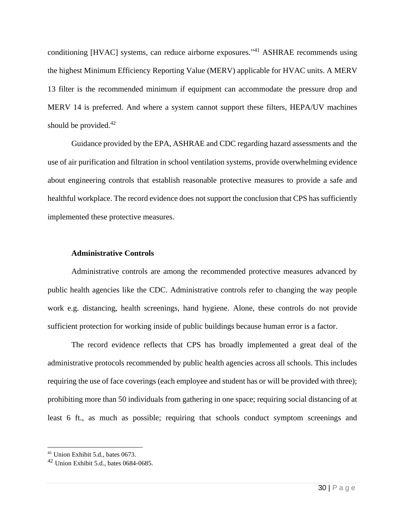conditioning [HVAC] systems, can reduce airborne exposures."<sup>41</sup> ASHRAE recommends using the highest Minimum Efficiency Reporting Value (MERV) applicable for HVAC units. A MERV 13 filter is the recommended minimum if equipment can accommodate the pressure drop and MERV 14 is preferred. And where a system cannot support these filters, HEPA/UV machines should be provided. $42$ 

Guidance provided by the EPA, ASHRAE and CDC regarding hazard assessments and the use of air purification and filtration in school ventilation systems, provide overwhelming evidence about engineering controls that establish reasonable protective measures to provide a safe and healthful workplace. The record evidence does not support the conclusion that CPS has sufficiently implemented these protective measures.

### **Administrative Controls**

Administrative controls are among the recommended protective measures advanced by public health agencies like the CDC. Administrative controls refer to changing the way people work e.g. distancing, health screenings, hand hygiene. Alone, these controls do not provide sufficient protection for working inside of public buildings because human error is a factor.

The record evidence reflects that CPS has broadly implemented a great deal of the administrative protocols recommended by public health agencies across all schools. This includes requiring the use of face coverings (each employee and student has or will be provided with three); prohibiting more than 50 individuals from gathering in one space; requiring social distancing of at least 6 ft., as much as possible; requiring that schools conduct symptom screenings and

<sup>41</sup> Union Exhibit 5.d., bates 0673.

<sup>42</sup> Union Exhibit 5.d., bates 0684-0685.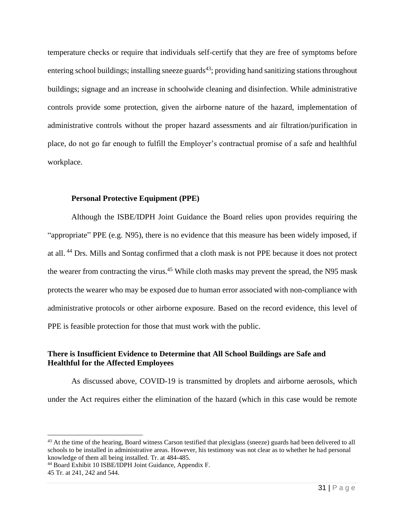temperature checks or require that individuals self-certify that they are free of symptoms before entering school buildings; installing sneeze guards<sup>43</sup>; providing hand sanitizing stations throughout buildings; signage and an increase in schoolwide cleaning and disinfection. While administrative controls provide some protection, given the airborne nature of the hazard, implementation of administrative controls without the proper hazard assessments and air filtration/purification in place, do not go far enough to fulfill the Employer's contractual promise of a safe and healthful workplace.

### **Personal Protective Equipment (PPE)**

Although the ISBE/IDPH Joint Guidance the Board relies upon provides requiring the "appropriate" PPE (e.g. N95), there is no evidence that this measure has been widely imposed, if at all. <sup>44</sup> Drs. Mills and Sontag confirmed that a cloth mask is not PPE because it does not protect the wearer from contracting the virus.<sup>45</sup> While cloth masks may prevent the spread, the N95 mask protects the wearer who may be exposed due to human error associated with non-compliance with administrative protocols or other airborne exposure. Based on the record evidence, this level of PPE is feasible protection for those that must work with the public.

# **There is Insufficient Evidence to Determine that All School Buildings are Safe and Healthful for the Affected Employees**

As discussed above, COVID-19 is transmitted by droplets and airborne aerosols, which under the Act requires either the elimination of the hazard (which in this case would be remote

<sup>&</sup>lt;sup>43</sup> At the time of the hearing, Board witness Carson testified that plexiglass (sneeze) guards had been delivered to all schools to be installed in administrative areas. However, his testimony was not clear as to whether he had personal knowledge of them all being installed. Tr. at 484-485.

<sup>44</sup> Board Exhibit 10 ISBE/IDPH Joint Guidance, Appendix F.

<sup>45</sup> Tr. at 241, 242 and 544.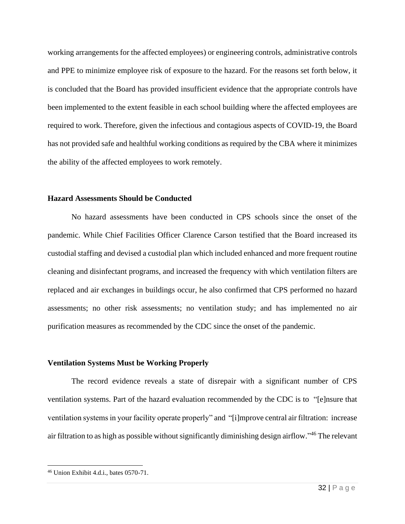working arrangements for the affected employees) or engineering controls, administrative controls and PPE to minimize employee risk of exposure to the hazard. For the reasons set forth below, it is concluded that the Board has provided insufficient evidence that the appropriate controls have been implemented to the extent feasible in each school building where the affected employees are required to work. Therefore, given the infectious and contagious aspects of COVID-19, the Board has not provided safe and healthful working conditions as required by the CBA where it minimizes the ability of the affected employees to work remotely.

### **Hazard Assessments Should be Conducted**

No hazard assessments have been conducted in CPS schools since the onset of the pandemic. While Chief Facilities Officer Clarence Carson testified that the Board increased its custodial staffing and devised a custodial plan which included enhanced and more frequent routine cleaning and disinfectant programs, and increased the frequency with which ventilation filters are replaced and air exchanges in buildings occur, he also confirmed that CPS performed no hazard assessments; no other risk assessments; no ventilation study; and has implemented no air purification measures as recommended by the CDC since the onset of the pandemic.

#### **Ventilation Systems Must be Working Properly**

The record evidence reveals a state of disrepair with a significant number of CPS ventilation systems. Part of the hazard evaluation recommended by the CDC is to "[e]nsure that ventilation systems in your facility operate properly" and "[i]mprove central air filtration: increase air filtration to as high as possible without significantly diminishing design airflow." <sup>46</sup> The relevant

<sup>46</sup> Union Exhibit 4.d.i., bates 0570-71.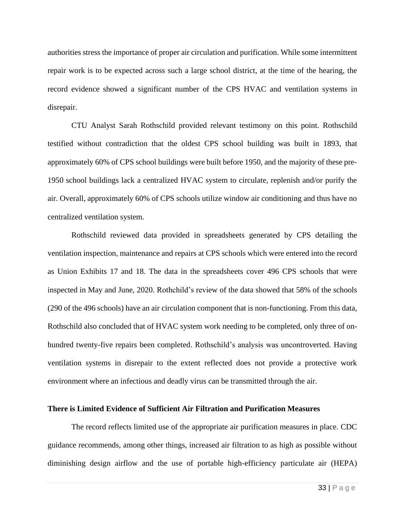authorities stress the importance of proper air circulation and purification. While some intermittent repair work is to be expected across such a large school district, at the time of the hearing, the record evidence showed a significant number of the CPS HVAC and ventilation systems in disrepair.

CTU Analyst Sarah Rothschild provided relevant testimony on this point. Rothschild testified without contradiction that the oldest CPS school building was built in 1893, that approximately 60% of CPS school buildings were built before 1950, and the majority of these pre-1950 school buildings lack a centralized HVAC system to circulate, replenish and/or purify the air. Overall, approximately 60% of CPS schools utilize window air conditioning and thus have no centralized ventilation system.

Rothschild reviewed data provided in spreadsheets generated by CPS detailing the ventilation inspection, maintenance and repairs at CPS schools which were entered into the record as Union Exhibits 17 and 18. The data in the spreadsheets cover 496 CPS schools that were inspected in May and June, 2020. Rothchild's review of the data showed that 58% of the schools (290 of the 496 schools) have an air circulation component that is non-functioning. From this data, Rothschild also concluded that of HVAC system work needing to be completed, only three of onhundred twenty-five repairs been completed. Rothschild's analysis was uncontroverted. Having ventilation systems in disrepair to the extent reflected does not provide a protective work environment where an infectious and deadly virus can be transmitted through the air.

## **There is Limited Evidence of Sufficient Air Filtration and Purification Measures**

The record reflects limited use of the appropriate air purification measures in place. CDC guidance recommends, among other things, increased air filtration to as high as possible without diminishing design airflow and the use of portable high-efficiency particulate air (HEPA)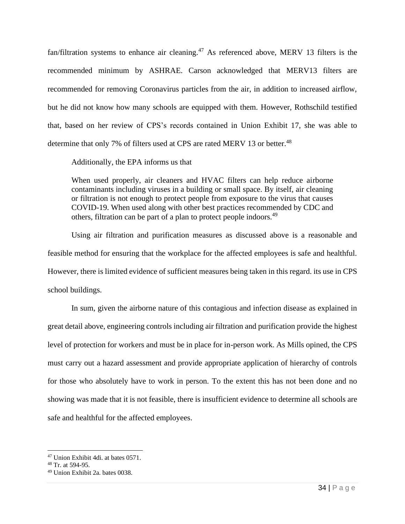fan/filtration systems to enhance air cleaning.<sup>47</sup> As referenced above, MERV 13 filters is the recommended minimum by ASHRAE. Carson acknowledged that MERV13 filters are recommended for removing Coronavirus particles from the air, in addition to increased airflow, but he did not know how many schools are equipped with them. However, Rothschild testified that, based on her review of CPS's records contained in Union Exhibit 17, she was able to determine that only 7% of filters used at CPS are rated MERV 13 or better.<sup>48</sup>

Additionally, the EPA informs us that

When used properly, air cleaners and HVAC filters can help reduce airborne contaminants including viruses in a building or small space. By itself, air cleaning or filtration is not enough to protect people from exposure to the virus that causes COVID-19. When used along with other best practices recommended by CDC and others, filtration can be part of a plan to protect people indoors.<sup>49</sup>

Using air filtration and purification measures as discussed above is a reasonable and feasible method for ensuring that the workplace for the affected employees is safe and healthful. However, there is limited evidence of sufficient measures being taken in this regard. its use in CPS school buildings.

In sum, given the airborne nature of this contagious and infection disease as explained in great detail above, engineering controls including air filtration and purification provide the highest level of protection for workers and must be in place for in-person work. As Mills opined, the CPS must carry out a hazard assessment and provide appropriate application of hierarchy of controls for those who absolutely have to work in person. To the extent this has not been done and no showing was made that it is not feasible, there is insufficient evidence to determine all schools are safe and healthful for the affected employees.

<sup>47</sup> Union Exhibit 4di. at bates 0571.

<sup>48</sup> Tr. at 594-95.

<sup>49</sup> Union Exhibit 2a. bates 0038.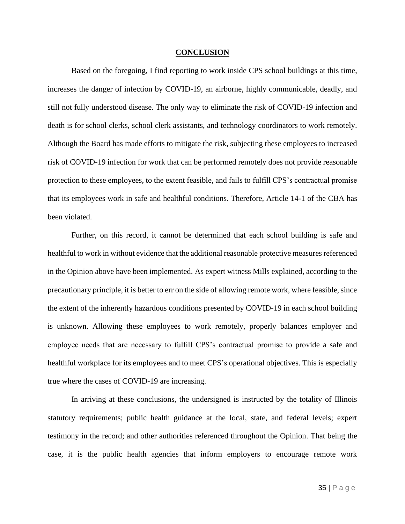#### **CONCLUSION**

Based on the foregoing, I find reporting to work inside CPS school buildings at this time, increases the danger of infection by COVID-19, an airborne, highly communicable, deadly, and still not fully understood disease. The only way to eliminate the risk of COVID-19 infection and death is for school clerks, school clerk assistants, and technology coordinators to work remotely. Although the Board has made efforts to mitigate the risk, subjecting these employees to increased risk of COVID-19 infection for work that can be performed remotely does not provide reasonable protection to these employees, to the extent feasible, and fails to fulfill CPS's contractual promise that its employees work in safe and healthful conditions. Therefore, Article 14-1 of the CBA has been violated.

Further, on this record, it cannot be determined that each school building is safe and healthful to work in without evidence that the additional reasonable protective measures referenced in the Opinion above have been implemented. As expert witness Mills explained, according to the precautionary principle, it is better to err on the side of allowing remote work, where feasible, since the extent of the inherently hazardous conditions presented by COVID-19 in each school building is unknown. Allowing these employees to work remotely, properly balances employer and employee needs that are necessary to fulfill CPS's contractual promise to provide a safe and healthful workplace for its employees and to meet CPS's operational objectives. This is especially true where the cases of COVID-19 are increasing.

In arriving at these conclusions, the undersigned is instructed by the totality of Illinois statutory requirements; public health guidance at the local, state, and federal levels; expert testimony in the record; and other authorities referenced throughout the Opinion. That being the case, it is the public health agencies that inform employers to encourage remote work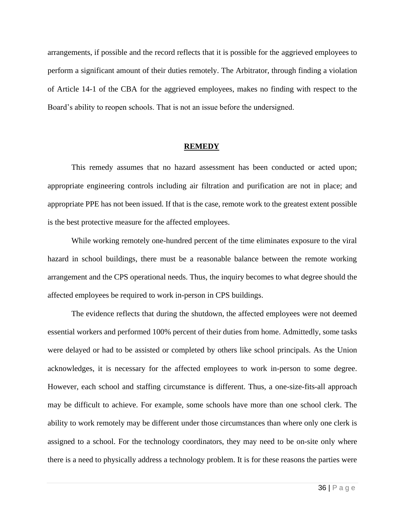arrangements, if possible and the record reflects that it is possible for the aggrieved employees to perform a significant amount of their duties remotely. The Arbitrator, through finding a violation of Article 14-1 of the CBA for the aggrieved employees, makes no finding with respect to the Board's ability to reopen schools. That is not an issue before the undersigned.

#### **REMEDY**

This remedy assumes that no hazard assessment has been conducted or acted upon; appropriate engineering controls including air filtration and purification are not in place; and appropriate PPE has not been issued. If that is the case, remote work to the greatest extent possible is the best protective measure for the affected employees.

While working remotely one-hundred percent of the time eliminates exposure to the viral hazard in school buildings, there must be a reasonable balance between the remote working arrangement and the CPS operational needs. Thus, the inquiry becomes to what degree should the affected employees be required to work in-person in CPS buildings.

The evidence reflects that during the shutdown, the affected employees were not deemed essential workers and performed 100% percent of their duties from home. Admittedly, some tasks were delayed or had to be assisted or completed by others like school principals. As the Union acknowledges, it is necessary for the affected employees to work in-person to some degree. However, each school and staffing circumstance is different. Thus, a one-size-fits-all approach may be difficult to achieve. For example, some schools have more than one school clerk. The ability to work remotely may be different under those circumstances than where only one clerk is assigned to a school. For the technology coordinators, they may need to be on-site only where there is a need to physically address a technology problem. It is for these reasons the parties were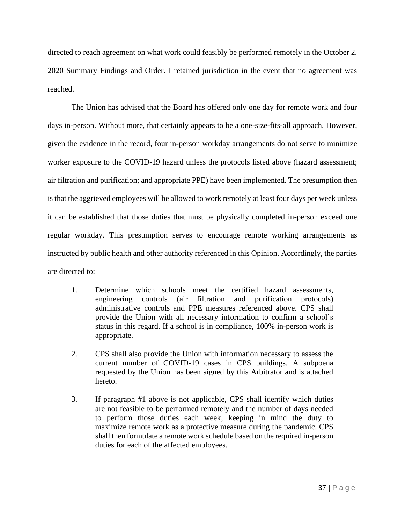directed to reach agreement on what work could feasibly be performed remotely in the October 2, 2020 Summary Findings and Order. I retained jurisdiction in the event that no agreement was reached.

The Union has advised that the Board has offered only one day for remote work and four days in-person. Without more, that certainly appears to be a one-size-fits-all approach. However, given the evidence in the record, four in-person workday arrangements do not serve to minimize worker exposure to the COVID-19 hazard unless the protocols listed above (hazard assessment; air filtration and purification; and appropriate PPE) have been implemented. The presumption then is that the aggrieved employees will be allowed to work remotely at least four days per week unless it can be established that those duties that must be physically completed in-person exceed one regular workday. This presumption serves to encourage remote working arrangements as instructed by public health and other authority referenced in this Opinion. Accordingly, the parties are directed to:

- 1. Determine which schools meet the certified hazard assessments, engineering controls (air filtration and purification protocols) administrative controls and PPE measures referenced above. CPS shall provide the Union with all necessary information to confirm a school's status in this regard. If a school is in compliance, 100% in-person work is appropriate.
- 2. CPS shall also provide the Union with information necessary to assess the current number of COVID-19 cases in CPS buildings. A subpoena requested by the Union has been signed by this Arbitrator and is attached hereto.
- 3. If paragraph #1 above is not applicable, CPS shall identify which duties are not feasible to be performed remotely and the number of days needed to perform those duties each week, keeping in mind the duty to maximize remote work as a protective measure during the pandemic. CPS shall then formulate a remote work schedule based on the required in-person duties for each of the affected employees.